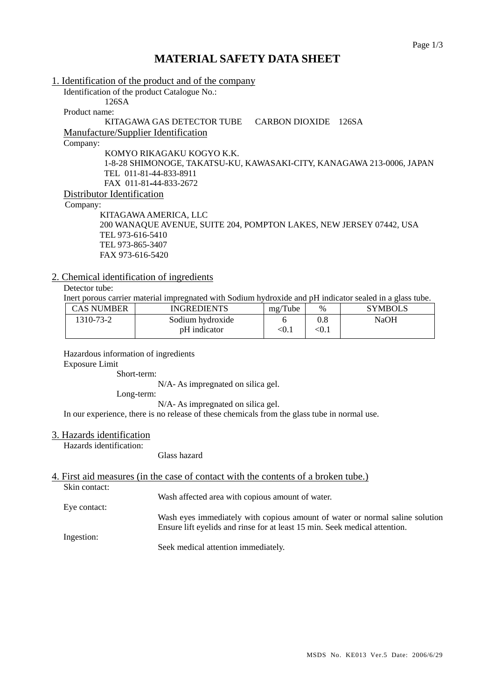# **MATERIAL SAFETY DATA SHEET**

| 1. Identification of the product and of the company                   |                         |
|-----------------------------------------------------------------------|-------------------------|
| Identification of the product Catalogue No.:                          |                         |
| 126SA                                                                 |                         |
| Product name:                                                         |                         |
| KITAGAWA GAS DETECTOR TUBE                                            | CARBON DIOXIDE<br>126SA |
| Manufacture/Supplier Identification                                   |                         |
| Company:                                                              |                         |
| KOMYO RIKAGAKU KOGYO K.K.                                             |                         |
| 1-8-28 SHIMONOGE, TAKATSU-KU, KAWASAKI-CITY, KANAGAWA 213-0006, JAPAN |                         |
| TEL 011-81-44-833-8911                                                |                         |
| FAX 011-81-44-833-2672                                                |                         |
| Distributor Identification                                            |                         |
| Company:                                                              |                         |
| KITAGAWA AMERICA, LLC                                                 |                         |
| 200 WANAQUE AVENUE, SUITE 204, POMPTON LAKES, NEW JERSEY 07442, USA   |                         |
| TEL 973-616-5410                                                      |                         |
| TEL 973-865-3407                                                      |                         |
| FAX 973-616-5420                                                      |                         |

## 2. Chemical identification of ingredients

Detector tube:

Inert porous carrier material impregnated with Sodium hydroxide and pH indicator sealed in a glass tube.

| CAS NUMBER | INGREDIENTS      | mg/Tube | $\frac{0}{0}$ | <b>SYMBOLS</b> |
|------------|------------------|---------|---------------|----------------|
| 1310-73-2  | Sodium hydroxide |         | $0.8\,$       | NaOH           |
|            | pH indicator     | < 0.1   | < 0.1         |                |

Hazardous information of ingredients

Exposure Limit

Short-term:

N/A- As impregnated on silica gel.

Long-term:

N/A- As impregnated on silica gel.

In our experience, there is no release of these chemicals from the glass tube in normal use.

#### 3. Hazards identification

Hazards identification:

#### Glass hazard

# 4. First aid measures (in the case of contact with the contents of a broken tube.)

Skin contact:

Wash affected area with copious amount of water.

Eye contact:

Ingestion:

Wash eyes immediately with copious amount of water or normal saline solution Ensure lift eyelids and rinse for at least 15 min. Seek medical attention.

Seek medical attention immediately.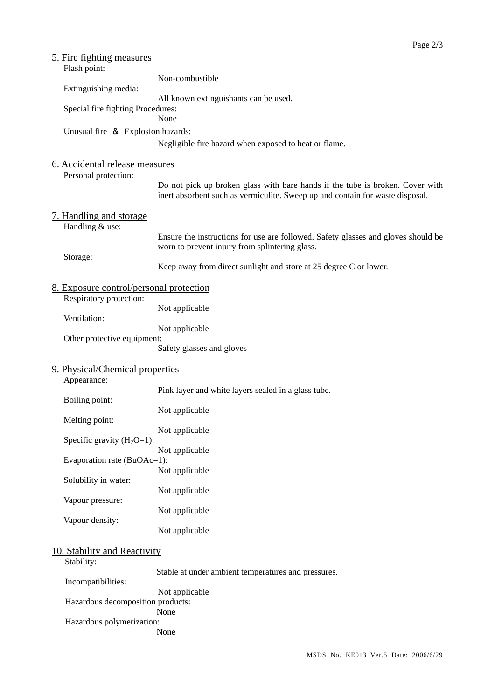| 5. Fire fighting measures                  |                                                                                                                                                                |  |  |
|--------------------------------------------|----------------------------------------------------------------------------------------------------------------------------------------------------------------|--|--|
| Flash point:                               |                                                                                                                                                                |  |  |
| Extinguishing media:                       | Non-combustible                                                                                                                                                |  |  |
|                                            | All known extinguishants can be used.                                                                                                                          |  |  |
| Special fire fighting Procedures:          |                                                                                                                                                                |  |  |
|                                            | None                                                                                                                                                           |  |  |
| Unusual fire & Explosion hazards:          |                                                                                                                                                                |  |  |
|                                            | Negligible fire hazard when exposed to heat or flame.                                                                                                          |  |  |
| 6. Accidental release measures             |                                                                                                                                                                |  |  |
| Personal protection:                       |                                                                                                                                                                |  |  |
|                                            | Do not pick up broken glass with bare hands if the tube is broken. Cover with<br>inert absorbent such as vermiculite. Sweep up and contain for waste disposal. |  |  |
| <u>7. Handling and storage</u>             |                                                                                                                                                                |  |  |
| Handling & use:                            |                                                                                                                                                                |  |  |
|                                            | Ensure the instructions for use are followed. Safety glasses and gloves should be                                                                              |  |  |
| Storage:                                   | worn to prevent injury from splintering glass.                                                                                                                 |  |  |
|                                            | Keep away from direct sunlight and store at 25 degree C or lower.                                                                                              |  |  |
| 8. Exposure control/personal protection    |                                                                                                                                                                |  |  |
| Respiratory protection:                    |                                                                                                                                                                |  |  |
| Ventilation:                               | Not applicable                                                                                                                                                 |  |  |
|                                            | Not applicable                                                                                                                                                 |  |  |
| Other protective equipment:                |                                                                                                                                                                |  |  |
|                                            | Safety glasses and gloves                                                                                                                                      |  |  |
| 9. Physical/Chemical properties            |                                                                                                                                                                |  |  |
| Appearance:                                |                                                                                                                                                                |  |  |
|                                            | Pink layer and white layers sealed in a glass tube.                                                                                                            |  |  |
| Boiling point:                             | Not applicable                                                                                                                                                 |  |  |
| Melting point:                             |                                                                                                                                                                |  |  |
|                                            | Not applicable                                                                                                                                                 |  |  |
| Specific gravity $(H_2O=1)$ :              |                                                                                                                                                                |  |  |
| Evaporation rate (BuOAc=1):                | Not applicable                                                                                                                                                 |  |  |
|                                            | Not applicable                                                                                                                                                 |  |  |
| Solubility in water:                       |                                                                                                                                                                |  |  |
|                                            | Not applicable                                                                                                                                                 |  |  |
| Vapour pressure:                           | Not applicable                                                                                                                                                 |  |  |
| Vapour density:                            |                                                                                                                                                                |  |  |
|                                            | Not applicable                                                                                                                                                 |  |  |
|                                            |                                                                                                                                                                |  |  |
| 10. Stability and Reactivity<br>Stability: |                                                                                                                                                                |  |  |
|                                            | Stable at under ambient temperatures and pressures.                                                                                                            |  |  |
| Incompatibilities:                         |                                                                                                                                                                |  |  |
|                                            | Not applicable                                                                                                                                                 |  |  |
| Hazardous decomposition products:<br>None  |                                                                                                                                                                |  |  |
| Hazardous polymerization:                  |                                                                                                                                                                |  |  |
|                                            | None                                                                                                                                                           |  |  |